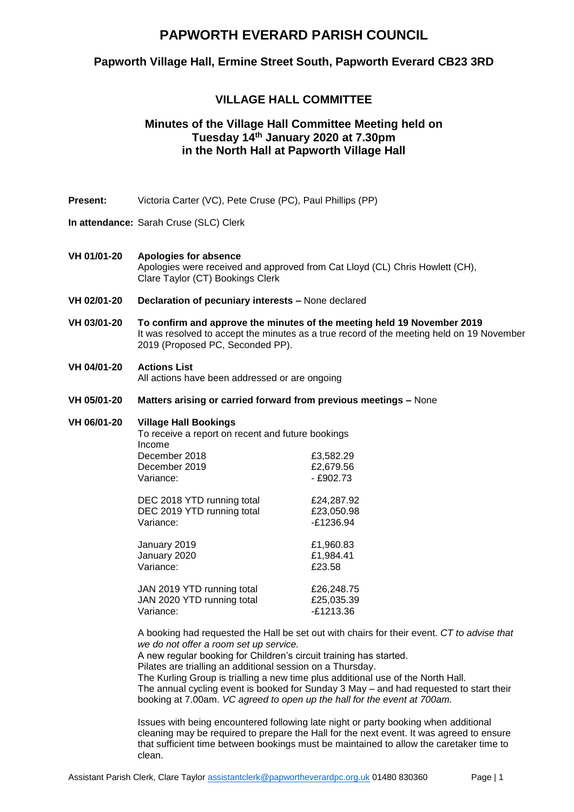## **PAPWORTH EVERARD PARISH COUNCIL**

## **Papworth Village Hall, Ermine Street South, Papworth Everard CB23 3RD**

## **VILLAGE HALL COMMITTEE**

## **Minutes of the Village Hall Committee Meeting held on Tuesday 14 th January 2020 at 7.30pm in the North Hall at Papworth Village Hall**

- **Present:** Victoria Carter (VC), Pete Cruse (PC), Paul Phillips (PP)
- **In attendance:** Sarah Cruse (SLC) Clerk

#### **VH 01/01-20 Apologies for absence** Apologies were received and approved from Cat Lloyd (CL) Chris Howlett (CH), Clare Taylor (CT) Bookings Clerk

- **VH 02/01-20 Declaration of pecuniary interests –** None declared
- **VH 03/01-20 To confirm and approve the minutes of the meeting held 19 November 2019**  It was resolved to accept the minutes as a true record of the meeting held on 19 November 2019 (Proposed PC, Seconded PP).

### **VH 04/01-20 Actions List**

All actions have been addressed or are ongoing

**VH 05/01-20 Matters arising or carried forward from previous meetings –** None

#### **VH 06/01-20 Village Hall Bookings**

To receive a report on recent and future bookings Income December 2018<br>
December 2019<br>
2.679.56 December 2019 Variance: 4902.73 DEC 2018 YTD running total £24,287.92 DEC 2019 YTD running total £23,050.98 Variance:  $-21236.94$ January 2019 £1,960.83 January 2020 £1,984.41 Variance:  $\sqrt{23.58}$ JAN 2019 YTD running total **E26,248.75** JAN 2020 YTD running total **E25,035.39** Variance: -£1213.36

A booking had requested the Hall be set out with chairs for their event. *CT to advise that we do not offer a room set up service.*

A new regular booking for Children's circuit training has started.

Pilates are trialling an additional session on a Thursday.

The Kurling Group is trialling a new time plus additional use of the North Hall. The annual cycling event is booked for Sunday 3 May – and had requested to start their booking at 7.00am. *VC agreed to open up the hall for the event at 700am.*

Issues with being encountered following late night or party booking when additional cleaning may be required to prepare the Hall for the next event. It was agreed to ensure that sufficient time between bookings must be maintained to allow the caretaker time to clean.